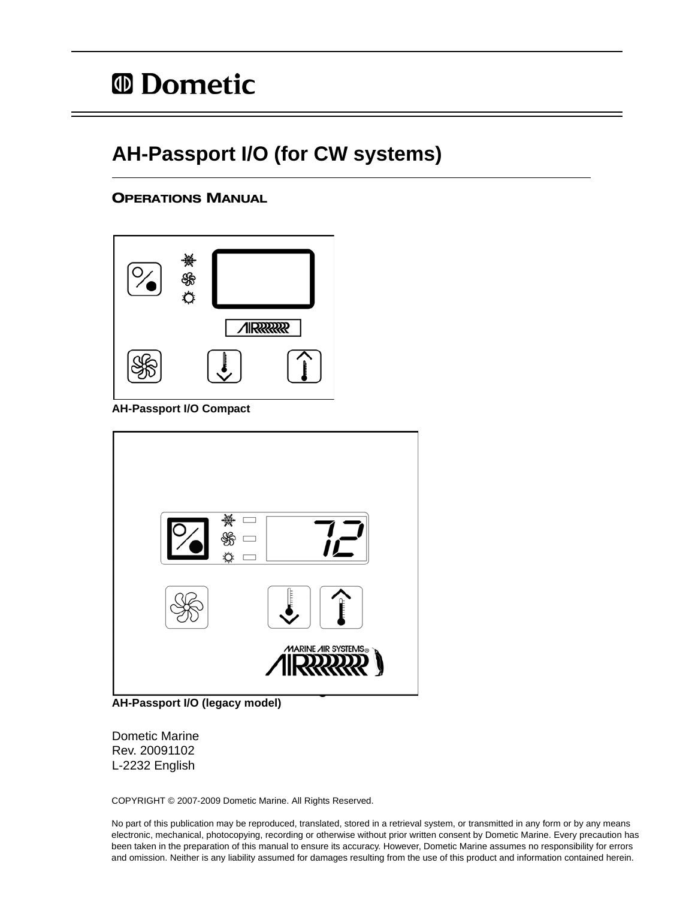## **AH-Passport I/O (for CW systems)**

### OPERATIONS MANUAL



**AH-Passport I/O Compact**



**AH-Passport I/O (legacy model)**

Dometic Marine Rev. 20091102 L-2232 English

COPYRIGHT © 2007-2009 Dometic Marine. All Rights Reserved.

No part of this publication may be reproduced, translated, stored in a retrieval system, or transmitted in any form or by any means electronic, mechanical, photocopying, recording or otherwise without prior written consent by Dometic Marine. Every precaution has been taken in the preparation of this manual to ensure its accuracy. However, Dometic Marine assumes no responsibility for errors and omission. Neither is any liability assumed for damages resulting from the use of this product and information contained herein.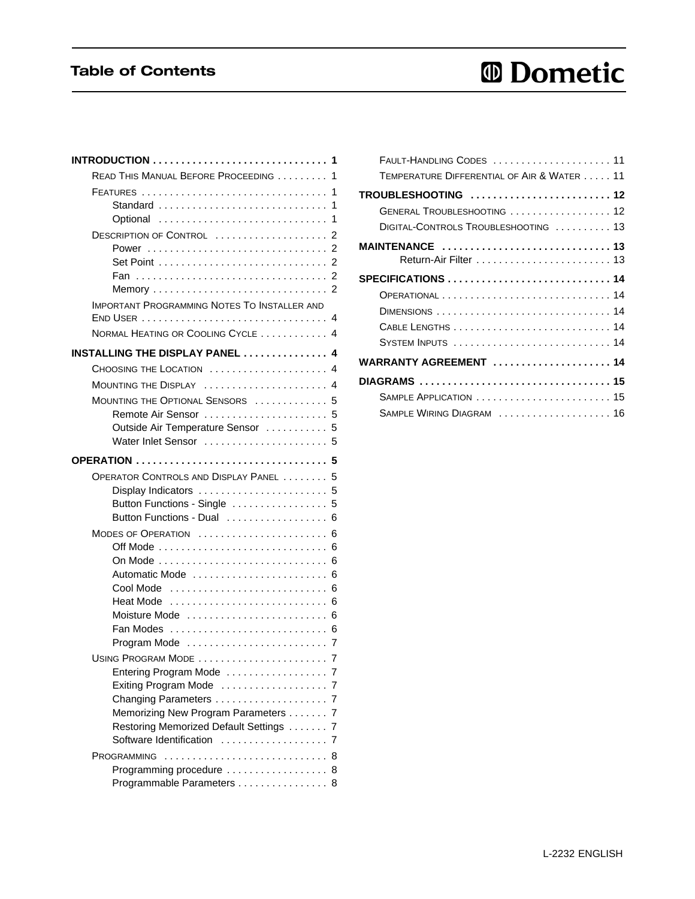## Table of Contents

|  | <b><sup>1</sup></b> Dometic |
|--|-----------------------------|
|--|-----------------------------|

| READ THIS MANUAL BEFORE PROCEEDING 1                         |   |
|--------------------------------------------------------------|---|
|                                                              | 1 |
| Standard                                                     | 1 |
|                                                              |   |
| DESCRIPTION OF CONTROL  2                                    |   |
|                                                              |   |
|                                                              |   |
|                                                              |   |
| <b>IMPORTANT PROGRAMMING NOTES TO INSTALLER AND</b>          |   |
|                                                              |   |
| NORMAL HEATING OR COOLING CYCLE  4                           |   |
| INSTALLING THE DISPLAY PANEL  4                              |   |
| CHOOSING THE LOCATION  4                                     |   |
| MOUNTING THE DISPLAY $\,\dots\dots\dots\dots\dots\dots\dots$ |   |
| MOUNTING THE OPTIONAL SENSORS  5                             |   |
| Remote Air Sensor  5                                         |   |
| Outside Air Temperature Sensor  5                            |   |
| Water Inlet Sensor  5                                        |   |
|                                                              |   |
| <b>OPERATOR CONTROLS AND DISPLAY PANEL  5</b>                |   |
|                                                              |   |
| Button Functions - Single  5                                 |   |
| Button Functions - Dual  6                                   |   |
| MODES OF OPERATION  6                                        |   |
|                                                              |   |
| Automatic Mode  6                                            |   |
|                                                              |   |
|                                                              |   |
| Moisture Mode  6                                             |   |
| Fan Modes  6                                                 |   |
|                                                              |   |
| USING PROGRAM MODE  7                                        |   |
|                                                              |   |
| Changing Parameters                                          | 7 |
| Memorizing New Program Parameters                            | 7 |
| Restoring Memorized Default Settings                         | 7 |
|                                                              |   |
| PROGRAMMING                                                  | 8 |
| Programming procedure  8                                     |   |
| Programmable Parameters  8                                   |   |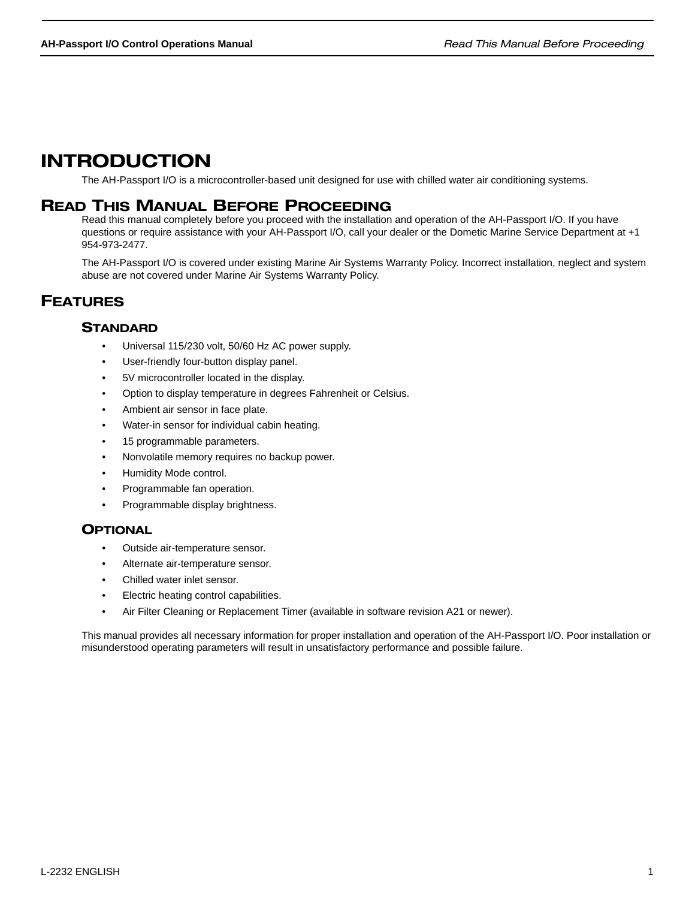## INTRODUCTION

The AH-Passport I/O is a microcontroller-based unit designed for use with chilled water air conditioning systems.

## READ THIS MANUAL BEFORE PROCEEDING

Read this manual completely before you proceed with the installation and operation of the AH-Passport I/O. If you have questions or require assistance with your AH-Passport I/O, call your dealer or the Dometic Marine Service Department at +1 954-973-2477.

The AH-Passport I/O is covered under existing Marine Air Systems Warranty Policy. Incorrect installation, neglect and system abuse are not covered under Marine Air Systems Warranty Policy.

## FEATURES

#### **STANDARD**

- Universal 115/230 volt, 50/60 Hz AC power supply.
- User-friendly four-button display panel.
- 5V microcontroller located in the display.
- Option to display temperature in degrees Fahrenheit or Celsius.
- Ambient air sensor in face plate.
- Water-in sensor for individual cabin heating.
- 15 programmable parameters.
- Nonvolatile memory requires no backup power.
- Humidity Mode control.
- Programmable fan operation.
- Programmable display brightness.

#### **OPTIONAL**

- Outside air-temperature sensor.
- Alternate air-temperature sensor.
- Chilled water inlet sensor.
- Electric heating control capabilities.
- Air Filter Cleaning or Replacement Timer (available in software revision A21 or newer).

This manual provides all necessary information for proper installation and operation of the AH-Passport I/O. Poor installation or misunderstood operating parameters will result in unsatisfactory performance and possible failure.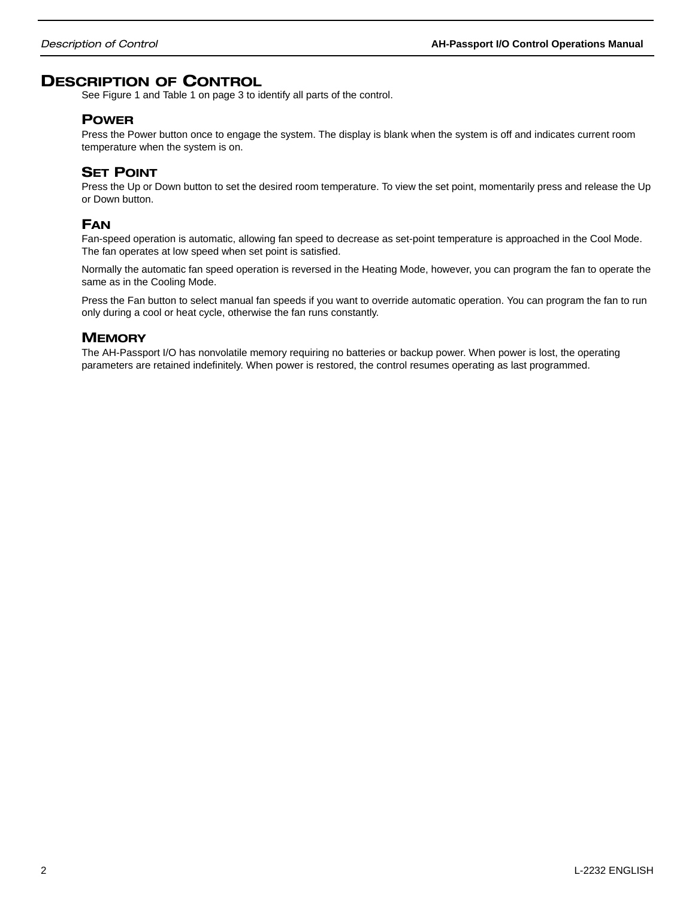### DESCRIPTION OF CONTROL

See Figure 1 and Table 1 on page 3 to identify all parts of the control.

#### POWER

Press the Power button once to engage the system. The display is blank when the system is off and indicates current room temperature when the system is on.

#### SET POINT

Press the Up or Down button to set the desired room temperature. To view the set point, momentarily press and release the Up or Down button.

#### FAN

Fan-speed operation is automatic, allowing fan speed to decrease as set-point temperature is approached in the Cool Mode. The fan operates at low speed when set point is satisfied.

Normally the automatic fan speed operation is reversed in the Heating Mode, however, you can program the fan to operate the same as in the Cooling Mode.

Press the Fan button to select manual fan speeds if you want to override automatic operation. You can program the fan to run only during a cool or heat cycle, otherwise the fan runs constantly.

#### **MEMORY**

The AH-Passport I/O has nonvolatile memory requiring no batteries or backup power. When power is lost, the operating parameters are retained indefinitely. When power is restored, the control resumes operating as last programmed.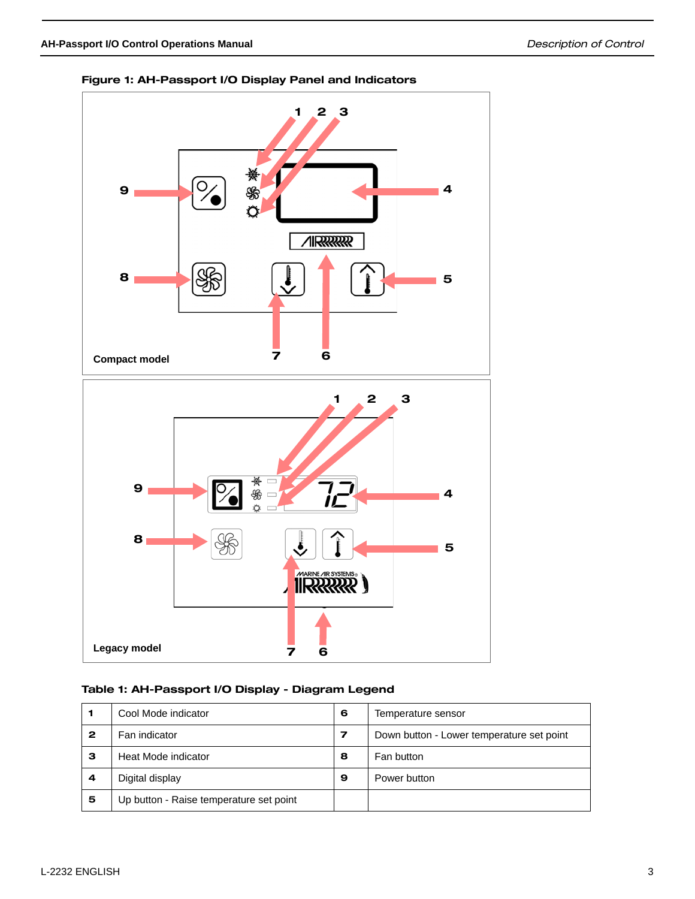



#### Table 1: AH-Passport I/O Display - Diagram Legend

|   | Cool Mode indicator                     | 6 | Temperature sensor                        |
|---|-----------------------------------------|---|-------------------------------------------|
| 2 | Fan indicator                           | 7 | Down button - Lower temperature set point |
| з | Heat Mode indicator                     | 8 | Fan button                                |
| 4 | Digital display                         | 9 | Power button                              |
| 5 | Up button - Raise temperature set point |   |                                           |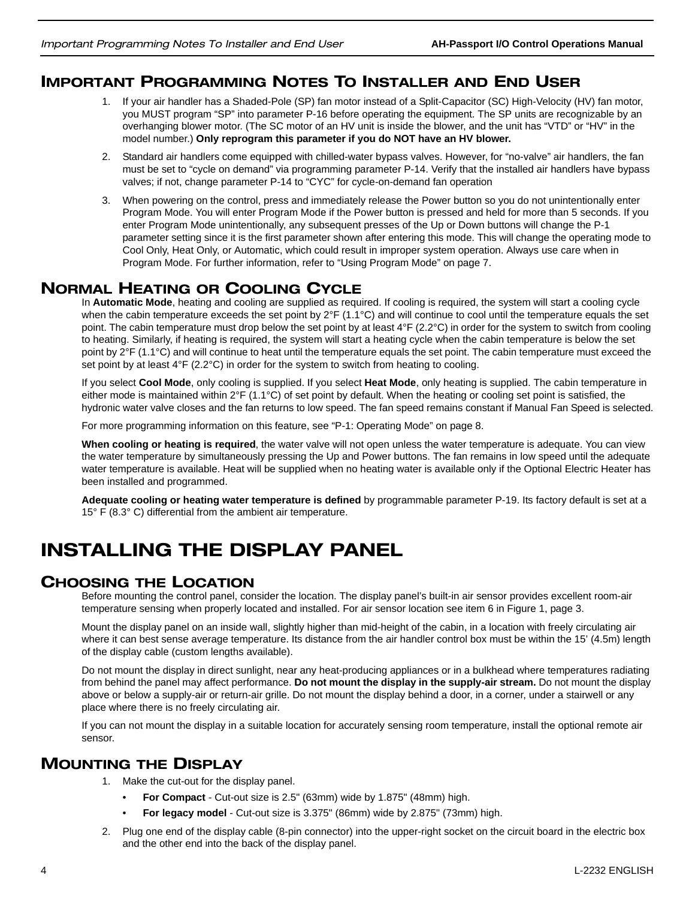## IMPORTANT PROGRAMMING NOTES TO INSTALLER AND END USER

- 1. If your air handler has a Shaded-Pole (SP) fan motor instead of a Split-Capacitor (SC) High-Velocity (HV) fan motor, you MUST program "SP" into parameter P-16 before operating the equipment. The SP units are recognizable by an overhanging blower motor. (The SC motor of an HV unit is inside the blower, and the unit has "VTD" or "HV" in the model number.) **Only reprogram this parameter if you do NOT have an HV blower.**
- 2. Standard air handlers come equipped with chilled-water bypass valves. However, for "no-valve" air handlers, the fan must be set to "cycle on demand" via programming parameter P-14. Verify that the installed air handlers have bypass valves; if not, change parameter P-14 to "CYC" for cycle-on-demand fan operation
- 3. When powering on the control, press and immediately release the Power button so you do not unintentionally enter Program Mode. You will enter Program Mode if the Power button is pressed and held for more than 5 seconds. If you enter Program Mode unintentionally, any subsequent presses of the Up or Down buttons will change the P-1 parameter setting since it is the first parameter shown after entering this mode. This will change the operating mode to Cool Only, Heat Only, or Automatic, which could result in improper system operation. Always use care when in Program Mode. For further information, refer to "Using Program Mode" on page 7.

## NORMAL HEATING OR COOLING CYCLE

In **Automatic Mode**, heating and cooling are supplied as required. If cooling is required, the system will start a cooling cycle when the cabin temperature exceeds the set point by  $2^{\circ}F$  (1.1 $^{\circ}C$ ) and will continue to cool until the temperature equals the set point. The cabin temperature must drop below the set point by at least 4°F (2.2°C) in order for the system to switch from cooling to heating. Similarly, if heating is required, the system will start a heating cycle when the cabin temperature is below the set point by 2°F (1.1°C) and will continue to heat until the temperature equals the set point. The cabin temperature must exceed the set point by at least 4°F (2.2°C) in order for the system to switch from heating to cooling.

If you select **Cool Mode**, only cooling is supplied. If you select **Heat Mode**, only heating is supplied. The cabin temperature in either mode is maintained within 2°F (1.1°C) of set point by default. When the heating or cooling set point is satisfied, the hydronic water valve closes and the fan returns to low speed. The fan speed remains constant if Manual Fan Speed is selected.

For more programming information on this feature, see "P-1: Operating Mode" on page 8.

**When cooling or heating is required**, the water valve will not open unless the water temperature is adequate. You can view the water temperature by simultaneously pressing the Up and Power buttons. The fan remains in low speed until the adequate water temperature is available. Heat will be supplied when no heating water is available only if the Optional Electric Heater has been installed and programmed.

**Adequate cooling or heating water temperature is defined** by programmable parameter P-19. Its factory default is set at a 15° F (8.3° C) differential from the ambient air temperature.

## INSTALLING THE DISPLAY PANEL

### CHOOSING THE LOCATION

Before mounting the control panel, consider the location. The display panel's built-in air sensor provides excellent room-air temperature sensing when properly located and installed. For air sensor location see item 6 in Figure 1, page 3.

Mount the display panel on an inside wall, slightly higher than mid-height of the cabin, in a location with freely circulating air where it can best sense average temperature. Its distance from the air handler control box must be within the 15' (4.5m) length of the display cable (custom lengths available).

Do not mount the display in direct sunlight, near any heat-producing appliances or in a bulkhead where temperatures radiating from behind the panel may affect performance. **Do not mount the display in the supply-air stream.** Do not mount the display above or below a supply-air or return-air grille. Do not mount the display behind a door, in a corner, under a stairwell or any place where there is no freely circulating air.

If you can not mount the display in a suitable location for accurately sensing room temperature, install the optional remote air sensor.

### MOUNTING THE DISPLAY

- 1. Make the cut-out for the display panel.
	- **For Compact**  Cut-out size is 2.5" (63mm) wide by 1.875" (48mm) high.
	- **For legacy model** Cut-out size is 3.375" (86mm) wide by 2.875" (73mm) high.
- 2. Plug one end of the display cable (8-pin connector) into the upper-right socket on the circuit board in the electric box and the other end into the back of the display panel.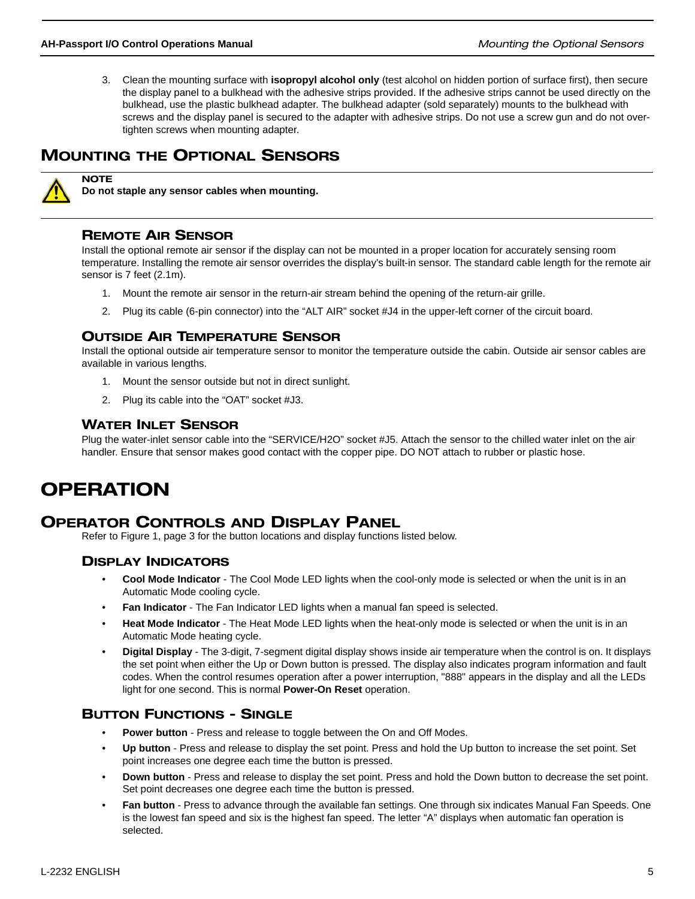3. Clean the mounting surface with **isopropyl alcohol only** (test alcohol on hidden portion of surface first), then secure the display panel to a bulkhead with the adhesive strips provided. If the adhesive strips cannot be used directly on the bulkhead, use the plastic bulkhead adapter. The bulkhead adapter (sold separately) mounts to the bulkhead with screws and the display panel is secured to the adapter with adhesive strips. Do not use a screw gun and do not overtighten screws when mounting adapter.

## MOUNTING THE OPTIONAL SENSORS



**NOTE** 

**Do not staple any sensor cables when mounting.**

#### REMOTE AIR SENSOR

Install the optional remote air sensor if the display can not be mounted in a proper location for accurately sensing room temperature. Installing the remote air sensor overrides the display's built-in sensor. The standard cable length for the remote air sensor is 7 feet (2.1m).

- 1. Mount the remote air sensor in the return-air stream behind the opening of the return-air grille.
- 2. Plug its cable (6-pin connector) into the "ALT AIR" socket #J4 in the upper-left corner of the circuit board.

#### OUTSIDE AIR TEMPERATURE SENSOR

Install the optional outside air temperature sensor to monitor the temperature outside the cabin. Outside air sensor cables are available in various lengths.

- 1. Mount the sensor outside but not in direct sunlight.
- 2. Plug its cable into the "OAT" socket #J3.

#### WATER INLET SENSOR

Plug the water-inlet sensor cable into the "SERVICE/H2O" socket #J5. Attach the sensor to the chilled water inlet on the air handler. Ensure that sensor makes good contact with the copper pipe. DO NOT attach to rubber or plastic hose.

## OPERATION

#### OPERATOR CONTROLS AND DISPLAY PANEL

Refer to Figure 1, page 3 for the button locations and display functions listed below.

#### DISPLAY INDICATORS

- **Cool Mode Indicator**  The Cool Mode LED lights when the cool-only mode is selected or when the unit is in an Automatic Mode cooling cycle.
- **Fan Indicator** The Fan Indicator LED lights when a manual fan speed is selected.
- **Heat Mode Indicator**  The Heat Mode LED lights when the heat-only mode is selected or when the unit is in an Automatic Mode heating cycle.
- **Digital Display**  The 3-digit, 7-segment digital display shows inside air temperature when the control is on. It displays the set point when either the Up or Down button is pressed. The display also indicates program information and fault codes. When the control resumes operation after a power interruption, "888" appears in the display and all the LEDs light for one second. This is normal **Power-On Reset** operation.

#### BUTTON FUNCTIONS - SINGLE

- **Power button** Press and release to toggle between the On and Off Modes.
- **Up button** Press and release to display the set point. Press and hold the Up button to increase the set point. Set point increases one degree each time the button is pressed.
- **Down button**  Press and release to display the set point. Press and hold the Down button to decrease the set point. Set point decreases one degree each time the button is pressed.
- **Fan button** Press to advance through the available fan settings. One through six indicates Manual Fan Speeds. One is the lowest fan speed and six is the highest fan speed. The letter "A" displays when automatic fan operation is selected.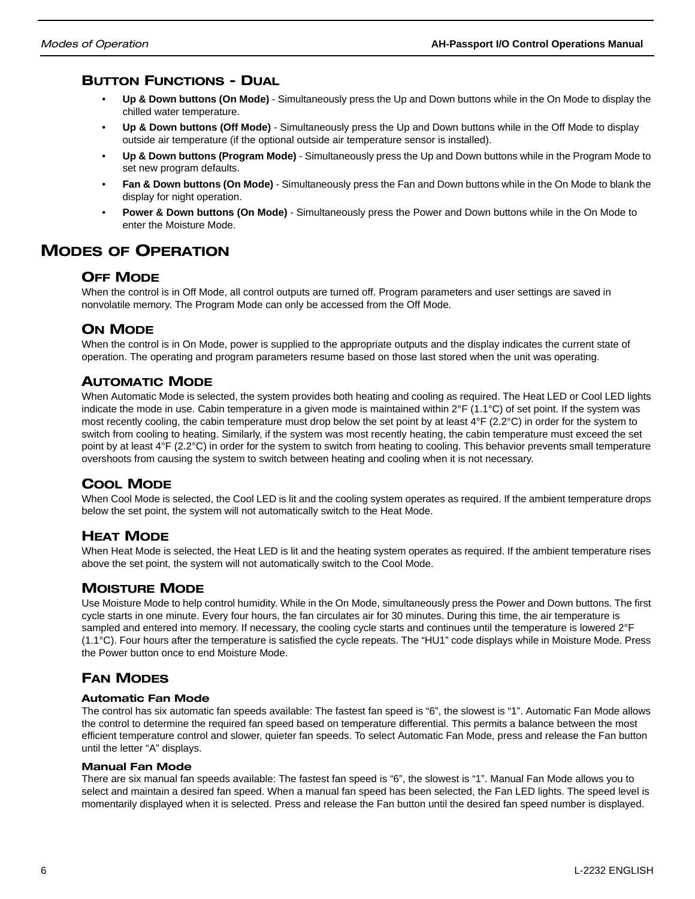#### BUTTON FUNCTIONS - DUAL

- **Up & Down buttons (On Mode)** Simultaneously press the Up and Down buttons while in the On Mode to display the chilled water temperature.
- **Up & Down buttons (Off Mode)** Simultaneously press the Up and Down buttons while in the Off Mode to display outside air temperature (if the optional outside air temperature sensor is installed).
- **Up & Down buttons (Program Mode)** Simultaneously press the Up and Down buttons while in the Program Mode to set new program defaults.
- **Fan & Down buttons (On Mode)** Simultaneously press the Fan and Down buttons while in the On Mode to blank the display for night operation.
- **Power & Down buttons (On Mode)** Simultaneously press the Power and Down buttons while in the On Mode to enter the Moisture Mode.

## MODES OF OPERATION

#### OFF MODE

When the control is in Off Mode, all control outputs are turned off. Program parameters and user settings are saved in nonvolatile memory. The Program Mode can only be accessed from the Off Mode.

### ON MODE

When the control is in On Mode, power is supplied to the appropriate outputs and the display indicates the current state of operation. The operating and program parameters resume based on those last stored when the unit was operating.

#### AUTOMATIC MODE

When Automatic Mode is selected, the system provides both heating and cooling as required. The Heat LED or Cool LED lights indicate the mode in use. Cabin temperature in a given mode is maintained within 2°F (1.1°C) of set point. If the system was most recently cooling, the cabin temperature must drop below the set point by at least 4°F (2.2°C) in order for the system to switch from cooling to heating. Similarly, if the system was most recently heating, the cabin temperature must exceed the set point by at least 4°F (2.2°C) in order for the system to switch from heating to cooling. This behavior prevents small temperature overshoots from causing the system to switch between heating and cooling when it is not necessary.

#### COOL MODE

When Cool Mode is selected, the Cool LED is lit and the cooling system operates as required. If the ambient temperature drops below the set point, the system will not automatically switch to the Heat Mode.

#### HEAT MODE

When Heat Mode is selected, the Heat LED is lit and the heating system operates as required. If the ambient temperature rises above the set point, the system will not automatically switch to the Cool Mode.

#### MOISTURE MODE

Use Moisture Mode to help control humidity. While in the On Mode, simultaneously press the Power and Down buttons. The first cycle starts in one minute. Every four hours, the fan circulates air for 30 minutes. During this time, the air temperature is sampled and entered into memory. If necessary, the cooling cycle starts and continues until the temperature is lowered 2°F (1.1°C). Four hours after the temperature is satisfied the cycle repeats. The "HU1" code displays while in Moisture Mode. Press the Power button once to end Moisture Mode.

#### FAN MODES

#### Automatic Fan Mode

The control has six automatic fan speeds available: The fastest fan speed is "6", the slowest is "1". Automatic Fan Mode allows the control to determine the required fan speed based on temperature differential. This permits a balance between the most efficient temperature control and slower, quieter fan speeds. To select Automatic Fan Mode, press and release the Fan button until the letter "A" displays.

#### Manual Fan Mode

There are six manual fan speeds available: The fastest fan speed is "6", the slowest is "1". Manual Fan Mode allows you to select and maintain a desired fan speed. When a manual fan speed has been selected, the Fan LED lights. The speed level is momentarily displayed when it is selected. Press and release the Fan button until the desired fan speed number is displayed.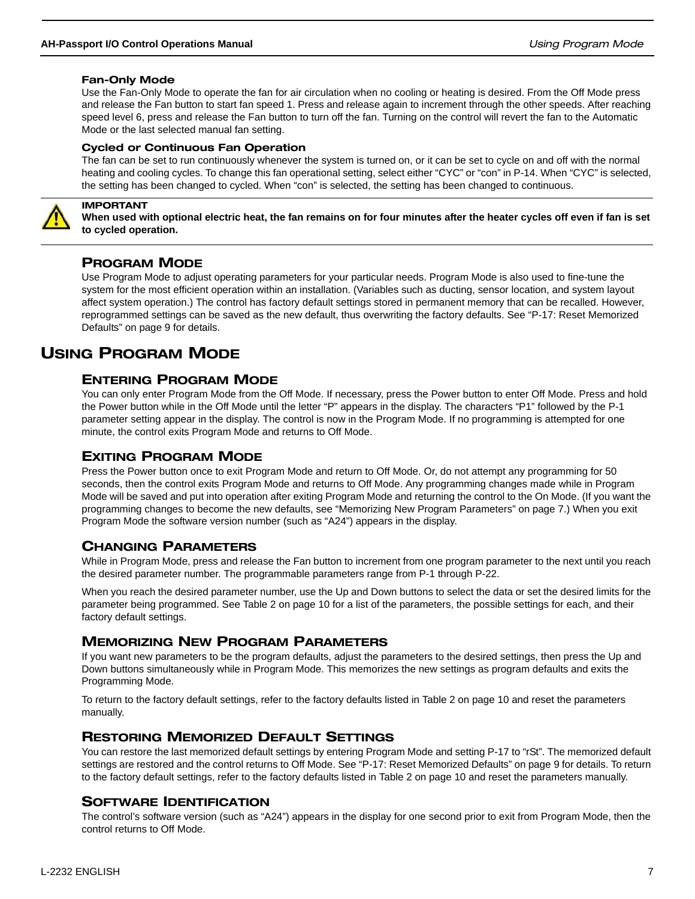#### Fan-Only Mode

Use the Fan-Only Mode to operate the fan for air circulation when no cooling or heating is desired. From the Off Mode press and release the Fan button to start fan speed 1. Press and release again to increment through the other speeds. After reaching speed level 6, press and release the Fan button to turn off the fan. Turning on the control will revert the fan to the Automatic Mode or the last selected manual fan setting.

#### Cycled or Continuous Fan Operation

The fan can be set to run continuously whenever the system is turned on, or it can be set to cycle on and off with the normal heating and cooling cycles. To change this fan operational setting, select either "CYC" or "con" in P-14. When "CYC" is selected, the setting has been changed to cycled. When "con" is selected, the setting has been changed to continuous.



IMPORTANT

**When used with optional electric heat, the fan remains on for four minutes after the heater cycles off even if fan is set to cycled operation.**

#### PROGRAM MODE

Use Program Mode to adjust operating parameters for your particular needs. Program Mode is also used to fine-tune the system for the most efficient operation within an installation. (Variables such as ducting, sensor location, and system layout affect system operation.) The control has factory default settings stored in permanent memory that can be recalled. However, reprogrammed settings can be saved as the new default, thus overwriting the factory defaults. See "P-17: Reset Memorized Defaults" on page 9 for details.

### USING PROGRAM MODE

#### ENTERING PROGRAM MODE

You can only enter Program Mode from the Off Mode. If necessary, press the Power button to enter Off Mode. Press and hold the Power button while in the Off Mode until the letter "P" appears in the display. The characters "P1" followed by the P-1 parameter setting appear in the display. The control is now in the Program Mode. If no programming is attempted for one minute, the control exits Program Mode and returns to Off Mode.

#### EXITING PROGRAM MODE

Press the Power button once to exit Program Mode and return to Off Mode. Or, do not attempt any programming for 50 seconds, then the control exits Program Mode and returns to Off Mode. Any programming changes made while in Program Mode will be saved and put into operation after exiting Program Mode and returning the control to the On Mode. (If you want the programming changes to become the new defaults, see "Memorizing New Program Parameters" on page 7.) When you exit Program Mode the software version number (such as "A24") appears in the display.

#### CHANGING PARAMETERS

While in Program Mode, press and release the Fan button to increment from one program parameter to the next until you reach the desired parameter number. The programmable parameters range from P-1 through P-22.

When you reach the desired parameter number, use the Up and Down buttons to select the data or set the desired limits for the parameter being programmed. See Table 2 on page 10 for a list of the parameters, the possible settings for each, and their factory default settings.

#### MEMORIZING NEW PROGRAM PARAMETERS

If you want new parameters to be the program defaults, adjust the parameters to the desired settings, then press the Up and Down buttons simultaneously while in Program Mode. This memorizes the new settings as program defaults and exits the Programming Mode.

To return to the factory default settings, refer to the factory defaults listed in Table 2 on page 10 and reset the parameters manually.

#### RESTORING MEMORIZED DEFAULT SETTINGS

You can restore the last memorized default settings by entering Program Mode and setting P-17 to "rSt". The memorized default settings are restored and the control returns to Off Mode. See "P-17: Reset Memorized Defaults" on page 9 for details. To return to the factory default settings, refer to the factory defaults listed in Table 2 on page 10 and reset the parameters manually.

#### SOFTWARE IDENTIFICATION

The control's software version (such as "A24") appears in the display for one second prior to exit from Program Mode, then the control returns to Off Mode.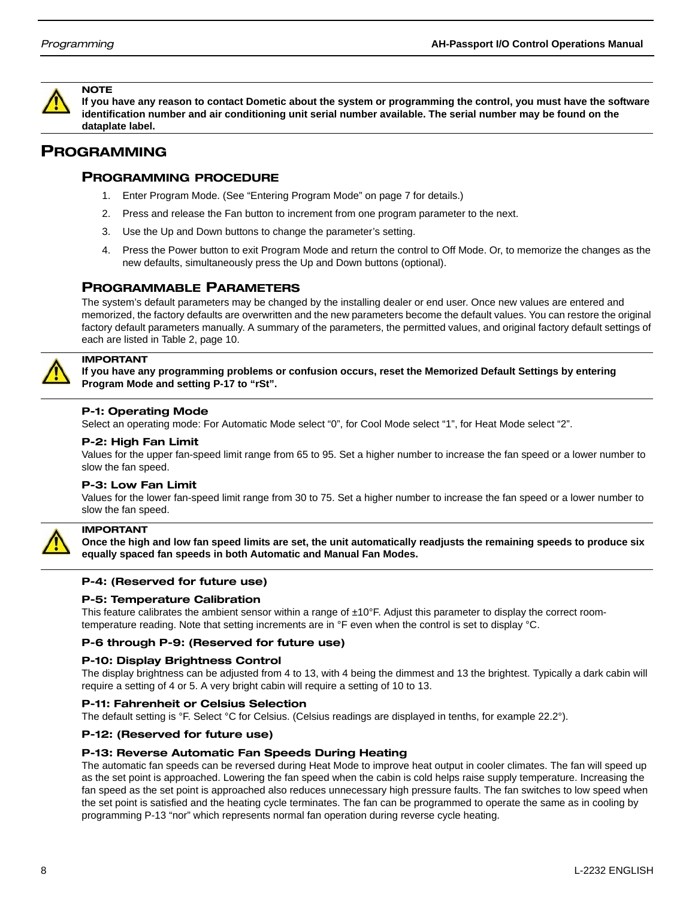

**NOTE If you have any reason to contact Dometic about the system or programming the control, you must have the software identification number and air conditioning unit serial number available. The serial number may be found on the dataplate label.**

## PROGRAMMING

#### PROGRAMMING PROCEDURE

- 1. Enter Program Mode. (See "Entering Program Mode" on page 7 for details.)
- 2. Press and release the Fan button to increment from one program parameter to the next.
- 3. Use the Up and Down buttons to change the parameter's setting.
- 4. Press the Power button to exit Program Mode and return the control to Off Mode. Or, to memorize the changes as the new defaults, simultaneously press the Up and Down buttons (optional).

#### PROGRAMMABLE PARAMETERS

The system's default parameters may be changed by the installing dealer or end user. Once new values are entered and memorized, the factory defaults are overwritten and the new parameters become the default values. You can restore the original factory default parameters manually. A summary of the parameters, the permitted values, and original factory default settings of each are listed in Table 2, page 10.



#### IMPORTANT

**If you have any programming problems or confusion occurs, reset the Memorized Default Settings by entering Program Mode and setting P-17 to "rSt".**

#### P-1: Operating Mode

Select an operating mode: For Automatic Mode select "0", for Cool Mode select "1", for Heat Mode select "2".

#### P-2: High Fan Limit

Values for the upper fan-speed limit range from 65 to 95. Set a higher number to increase the fan speed or a lower number to slow the fan speed.

#### P-3: Low Fan Limit

Values for the lower fan-speed limit range from 30 to 75. Set a higher number to increase the fan speed or a lower number to slow the fan speed.



#### IMPORTANT

**Once the high and low fan speed limits are set, the unit automatically readjusts the remaining speeds to produce six equally spaced fan speeds in both Automatic and Manual Fan Modes.**

#### P-4: (Reserved for future use)

#### P-5: Temperature Calibration

This feature calibrates the ambient sensor within a range of  $\pm 10^{\circ}$ F. Adjust this parameter to display the correct roomtemperature reading. Note that setting increments are in °F even when the control is set to display °C.

#### P-6 through P-9: (Reserved for future use)

#### P-10: Display Brightness Control

The display brightness can be adjusted from 4 to 13, with 4 being the dimmest and 13 the brightest. Typically a dark cabin will require a setting of 4 or 5. A very bright cabin will require a setting of 10 to 13.

#### P-11: Fahrenheit or Celsius Selection

The default setting is °F. Select °C for Celsius. (Celsius readings are displayed in tenths, for example 22.2°).

#### P-12: (Reserved for future use)

#### P-13: Reverse Automatic Fan Speeds During Heating

The automatic fan speeds can be reversed during Heat Mode to improve heat output in cooler climates. The fan will speed up as the set point is approached. Lowering the fan speed when the cabin is cold helps raise supply temperature. Increasing the fan speed as the set point is approached also reduces unnecessary high pressure faults. The fan switches to low speed when the set point is satisfied and the heating cycle terminates. The fan can be programmed to operate the same as in cooling by programming P-13 "nor" which represents normal fan operation during reverse cycle heating.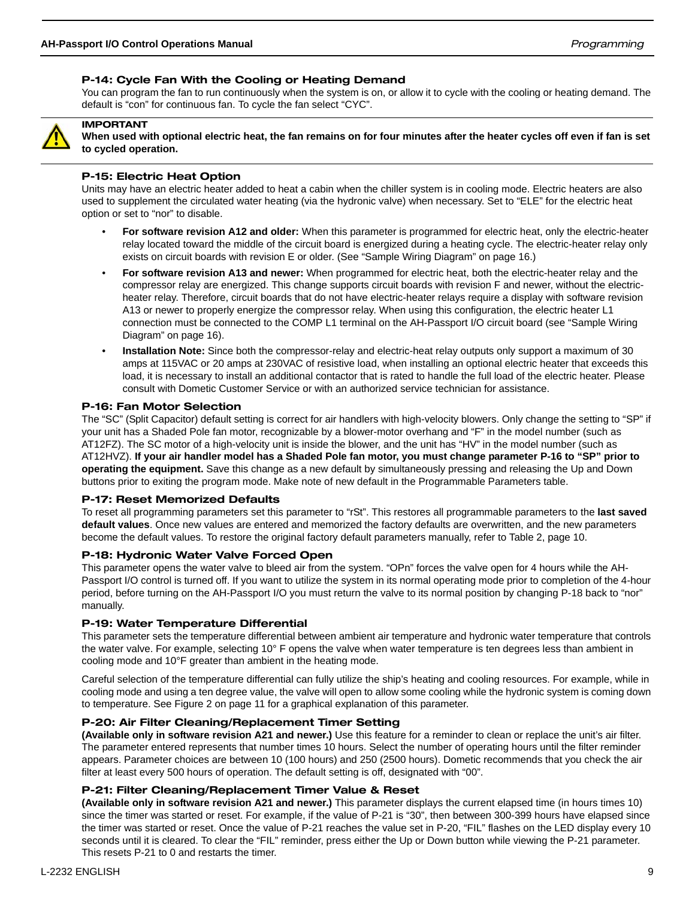#### P-14: Cycle Fan With the Cooling or Heating Demand

You can program the fan to run continuously when the system is on, or allow it to cycle with the cooling or heating demand. The default is "con" for continuous fan. To cycle the fan select "CYC".



#### IMPORTANT

**When used with optional electric heat, the fan remains on for four minutes after the heater cycles off even if fan is set to cycled operation.**

#### P-15: Electric Heat Option

Units may have an electric heater added to heat a cabin when the chiller system is in cooling mode. Electric heaters are also used to supplement the circulated water heating (via the hydronic valve) when necessary. Set to "ELE" for the electric heat option or set to "nor" to disable.

- **For software revision A12 and older:** When this parameter is programmed for electric heat, only the electric-heater relay located toward the middle of the circuit board is energized during a heating cycle. The electric-heater relay only exists on circuit boards with revision E or older. (See "Sample Wiring Diagram" on page 16.)
- **For software revision A13 and newer:** When programmed for electric heat, both the electric-heater relay and the compressor relay are energized. This change supports circuit boards with revision F and newer, without the electricheater relay. Therefore, circuit boards that do not have electric-heater relays require a display with software revision A13 or newer to properly energize the compressor relay. When using this configuration, the electric heater L1 connection must be connected to the COMP L1 terminal on the AH-Passport I/O circuit board (see "Sample Wiring Diagram" on page 16).
- **Installation Note:** Since both the compressor-relay and electric-heat relay outputs only support a maximum of 30 amps at 115VAC or 20 amps at 230VAC of resistive load, when installing an optional electric heater that exceeds this load, it is necessary to install an additional contactor that is rated to handle the full load of the electric heater. Please consult with Dometic Customer Service or with an authorized service technician for assistance.

#### P-16: Fan Motor Selection

The "SC" (Split Capacitor) default setting is correct for air handlers with high-velocity blowers. Only change the setting to "SP" if your unit has a Shaded Pole fan motor, recognizable by a blower-motor overhang and "F" in the model number (such as AT12FZ). The SC motor of a high-velocity unit is inside the blower, and the unit has "HV" in the model number (such as AT12HVZ). **If your air handler model has a Shaded Pole fan motor, you must change parameter P-16 to "SP" prior to operating the equipment.** Save this change as a new default by simultaneously pressing and releasing the Up and Down buttons prior to exiting the program mode. Make note of new default in the Programmable Parameters table.

#### P-17: Reset Memorized Defaults

To reset all programming parameters set this parameter to "rSt". This restores all programmable parameters to the **last saved default values**. Once new values are entered and memorized the factory defaults are overwritten, and the new parameters become the default values. To restore the original factory default parameters manually, refer to Table 2, page 10.

#### P-18: Hydronic Water Valve Forced Open

This parameter opens the water valve to bleed air from the system. "OPn" forces the valve open for 4 hours while the AH-Passport I/O control is turned off. If you want to utilize the system in its normal operating mode prior to completion of the 4-hour period, before turning on the AH-Passport I/O you must return the valve to its normal position by changing P-18 back to "nor" manually.

#### P-19: Water Temperature Differential

This parameter sets the temperature differential between ambient air temperature and hydronic water temperature that controls the water valve. For example, selecting 10° F opens the valve when water temperature is ten degrees less than ambient in cooling mode and 10°F greater than ambient in the heating mode.

Careful selection of the temperature differential can fully utilize the ship's heating and cooling resources. For example, while in cooling mode and using a ten degree value, the valve will open to allow some cooling while the hydronic system is coming down to temperature. See Figure 2 on page 11 for a graphical explanation of this parameter.

#### P-20: Air Filter Cleaning/Replacement Timer Setting

**(Available only in software revision A21 and newer.)** Use this feature for a reminder to clean or replace the unit's air filter. The parameter entered represents that number times 10 hours. Select the number of operating hours until the filter reminder appears. Parameter choices are between 10 (100 hours) and 250 (2500 hours). Dometic recommends that you check the air filter at least every 500 hours of operation. The default setting is off, designated with "00".

#### P-21: Filter Cleaning/Replacement Timer Value & Reset

**(Available only in software revision A21 and newer.)** This parameter displays the current elapsed time (in hours times 10) since the timer was started or reset. For example, if the value of P-21 is "30", then between 300-399 hours have elapsed since the timer was started or reset. Once the value of P-21 reaches the value set in P-20, "FIL" flashes on the LED display every 10 seconds until it is cleared. To clear the "FIL" reminder, press either the Up or Down button while viewing the P-21 parameter. This resets P-21 to 0 and restarts the timer.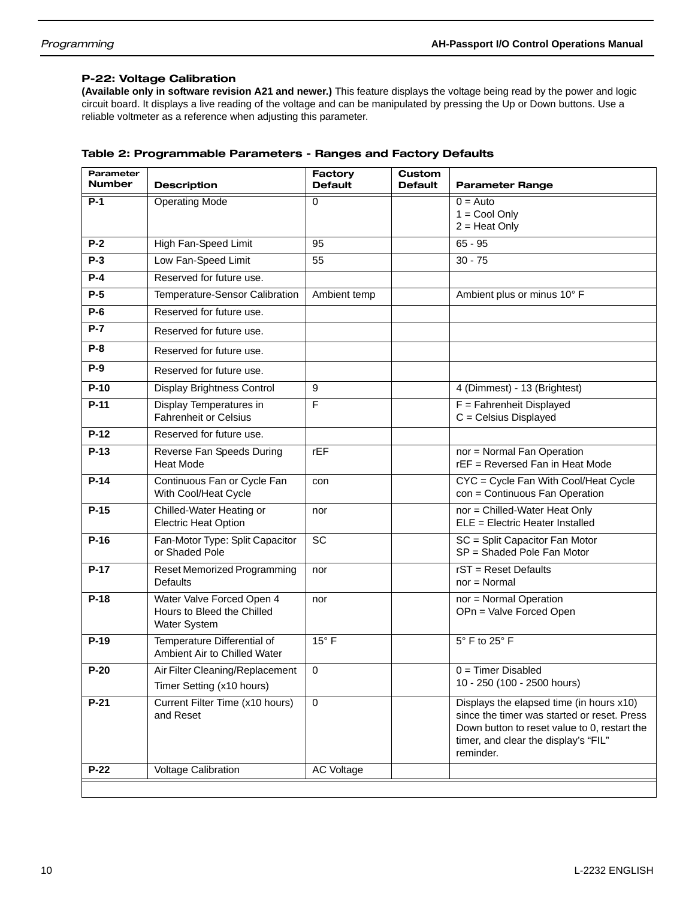#### P-22: Voltage Calibration

**(Available only in software revision A21 and newer.)** This feature displays the voltage being read by the power and logic circuit board. It displays a live reading of the voltage and can be manipulated by pressing the Up or Down buttons. Use a reliable voltmeter as a reference when adjusting this parameter.

| Parameter<br><b>Number</b> | <b>Description</b>                                                      | Factory<br><b>Default</b> | Custom<br><b>Default</b> | <b>Parameter Range</b>                                                                                                                                                                       |
|----------------------------|-------------------------------------------------------------------------|---------------------------|--------------------------|----------------------------------------------------------------------------------------------------------------------------------------------------------------------------------------------|
| $P-1$                      | <b>Operating Mode</b>                                                   | $\Omega$                  |                          | $0 =$ Auto<br>$1 = \text{Cool Only}$<br>$2 =$ Heat Only                                                                                                                                      |
| $P-2$                      | High Fan-Speed Limit                                                    | 95                        |                          | $65 - 95$                                                                                                                                                                                    |
| $P-3$                      | Low Fan-Speed Limit                                                     | 55                        |                          | $30 - 75$                                                                                                                                                                                    |
| $P-4$                      | Reserved for future use.                                                |                           |                          |                                                                                                                                                                                              |
| $P-5$                      | Temperature-Sensor Calibration                                          | Ambient temp              |                          | Ambient plus or minus 10° F                                                                                                                                                                  |
| $P-6$                      | Reserved for future use.                                                |                           |                          |                                                                                                                                                                                              |
| $P-7$                      | Reserved for future use.                                                |                           |                          |                                                                                                                                                                                              |
| $P-8$                      | Reserved for future use.                                                |                           |                          |                                                                                                                                                                                              |
| $P-9$                      | Reserved for future use.                                                |                           |                          |                                                                                                                                                                                              |
| $P-10$                     | Display Brightness Control                                              | 9                         |                          | 4 (Dimmest) - 13 (Brightest)                                                                                                                                                                 |
| $P-11$                     | Display Temperatures in<br><b>Fahrenheit or Celsius</b>                 | $\mathsf{F}$              |                          | F = Fahrenheit Displayed<br>$C =$ Celsius Displayed                                                                                                                                          |
| $P-12$                     | Reserved for future use.                                                |                           |                          |                                                                                                                                                                                              |
| $P-13$                     | Reverse Fan Speeds During<br><b>Heat Mode</b>                           | rEF                       |                          | nor = Normal Fan Operation<br>rEF = Reversed Fan in Heat Mode                                                                                                                                |
| $P-14$                     | Continuous Fan or Cycle Fan<br>With Cool/Heat Cycle                     | con                       |                          | CYC = Cycle Fan With Cool/Heat Cycle<br>con = Continuous Fan Operation                                                                                                                       |
| $P-15$                     | Chilled-Water Heating or<br><b>Electric Heat Option</b>                 | nor                       |                          | nor = Chilled-Water Heat Only<br>ELE = Electric Heater Installed                                                                                                                             |
| $P-16$                     | Fan-Motor Type: Split Capacitor<br>or Shaded Pole                       | SC                        |                          | SC = Split Capacitor Fan Motor<br>SP = Shaded Pole Fan Motor                                                                                                                                 |
| $P-17$                     | Reset Memorized Programming<br><b>Defaults</b>                          | nor                       |                          | $\overline{\text{rST}}$ = Reset Defaults<br>$nor = Normal$                                                                                                                                   |
| $P-18$                     | Water Valve Forced Open 4<br>Hours to Bleed the Chilled<br>Water System | nor                       |                          | nor = Normal Operation<br>OPn = Valve Forced Open                                                                                                                                            |
| $P-19$                     | Temperature Differential of<br>Ambient Air to Chilled Water             | $15^{\circ}$ F            |                          | 5° F to 25° F                                                                                                                                                                                |
| $P-20$                     | Air Filter Cleaning/Replacement<br>Timer Setting (x10 hours)            | $\Omega$                  |                          | $0 =$ Timer Disabled<br>10 - 250 (100 - 2500 hours)                                                                                                                                          |
| $P-21$                     | Current Filter Time (x10 hours)<br>and Reset                            | $\mathbf 0$               |                          | Displays the elapsed time (in hours x10)<br>since the timer was started or reset. Press<br>Down button to reset value to 0, restart the<br>timer, and clear the display's "FIL"<br>reminder. |
| $P-22$                     | Voltage Calibration                                                     | <b>AC Voltage</b>         |                          |                                                                                                                                                                                              |

Table 2: Programmable Parameters - Ranges and Factory Defaults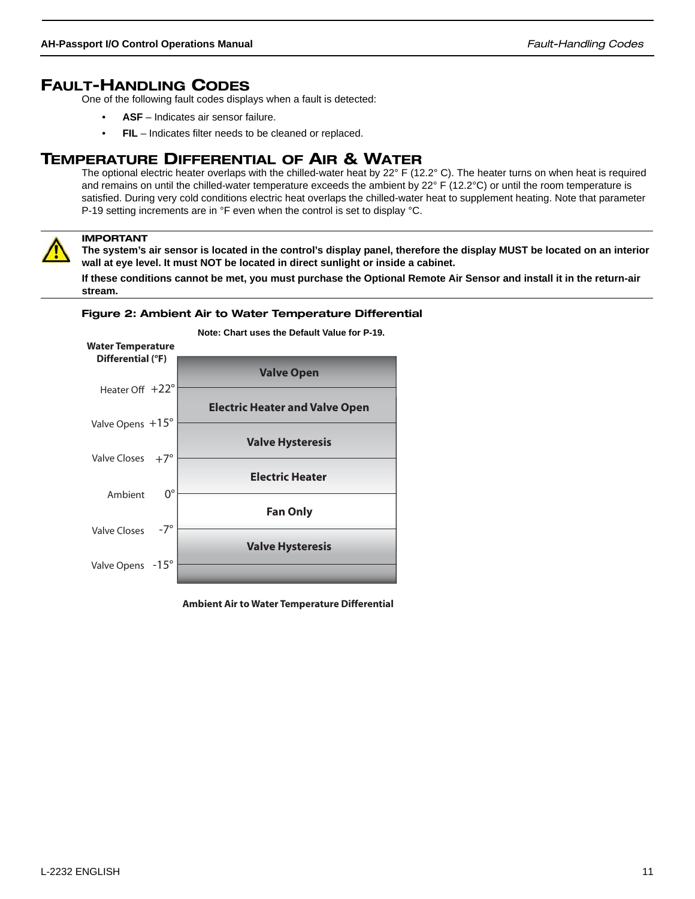### FAULT-HANDLING CODES

One of the following fault codes displays when a fault is detected:

- **ASF** Indicates air sensor failure.
- **FIL** Indicates filter needs to be cleaned or replaced.

## TEMPERATURE DIFFERENTIAL OF AIR & WATER

The optional electric heater overlaps with the chilled-water heat by 22° F (12.2° C). The heater turns on when heat is required and remains on until the chilled-water temperature exceeds the ambient by 22° F (12.2°C) or until the room temperature is satisfied. During very cold conditions electric heat overlaps the chilled-water heat to supplement heating. Note that parameter P-19 setting increments are in °F even when the control is set to display °C.



#### IMPORTANT

**The system's air sensor is located in the control's display panel, therefore the display MUST be located on an interior wall at eye level. It must NOT be located in direct sunlight or inside a cabinet.**

**If these conditions cannot be met, you must purchase the Optional Remote Air Sensor and install it in the return-air stream.**

#### Figure 2: Ambient Air to Water Temperature Differential



**Ambient Air to Water Temperature Differential**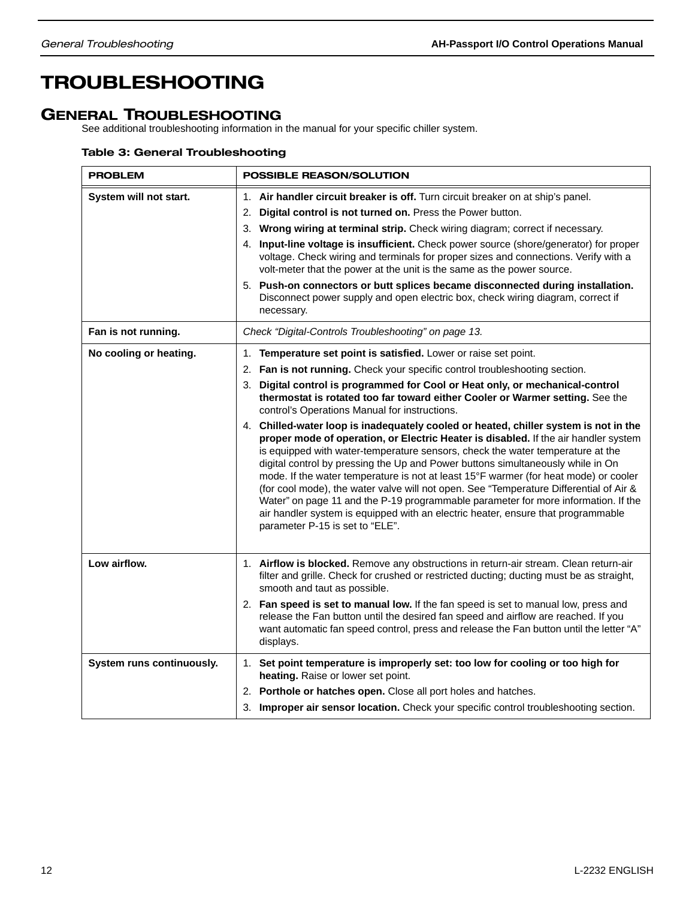## TROUBLESHOOTING

## GENERAL TROUBLESHOOTING

See additional troubleshooting information in the manual for your specific chiller system.

#### Table 3: General Troubleshooting

| <b>PROBLEM</b>            | <b>POSSIBLE REASON/SOLUTION</b>                                                                                                                                                                                                                                                                                                                                                                                                                                                                                                                                                                                                                                                                                                                                                                                                                                                                                                                                                                                                                                                                                       |  |  |
|---------------------------|-----------------------------------------------------------------------------------------------------------------------------------------------------------------------------------------------------------------------------------------------------------------------------------------------------------------------------------------------------------------------------------------------------------------------------------------------------------------------------------------------------------------------------------------------------------------------------------------------------------------------------------------------------------------------------------------------------------------------------------------------------------------------------------------------------------------------------------------------------------------------------------------------------------------------------------------------------------------------------------------------------------------------------------------------------------------------------------------------------------------------|--|--|
| System will not start.    | 1. Air handler circuit breaker is off. Turn circuit breaker on at ship's panel.<br>2. Digital control is not turned on. Press the Power button.<br>3. Wrong wiring at terminal strip. Check wiring diagram; correct if necessary.<br>4. Input-line voltage is insufficient. Check power source (shore/generator) for proper<br>voltage. Check wiring and terminals for proper sizes and connections. Verify with a<br>volt-meter that the power at the unit is the same as the power source.<br>5. Push-on connectors or butt splices became disconnected during installation.<br>Disconnect power supply and open electric box, check wiring diagram, correct if<br>necessary.                                                                                                                                                                                                                                                                                                                                                                                                                                       |  |  |
| Fan is not running.       | Check "Digital-Controls Troubleshooting" on page 13.                                                                                                                                                                                                                                                                                                                                                                                                                                                                                                                                                                                                                                                                                                                                                                                                                                                                                                                                                                                                                                                                  |  |  |
| No cooling or heating.    | 1. Temperature set point is satisfied. Lower or raise set point.<br>2. Fan is not running. Check your specific control troubleshooting section.<br>3. Digital control is programmed for Cool or Heat only, or mechanical-control<br>thermostat is rotated too far toward either Cooler or Warmer setting. See the<br>control's Operations Manual for instructions.<br>4. Chilled-water loop is inadequately cooled or heated, chiller system is not in the<br>proper mode of operation, or Electric Heater is disabled. If the air handler system<br>is equipped with water-temperature sensors, check the water temperature at the<br>digital control by pressing the Up and Power buttons simultaneously while in On<br>mode. If the water temperature is not at least 15°F warmer (for heat mode) or cooler<br>(for cool mode), the water valve will not open. See "Temperature Differential of Air &<br>Water" on page 11 and the P-19 programmable parameter for more information. If the<br>air handler system is equipped with an electric heater, ensure that programmable<br>parameter P-15 is set to "ELE". |  |  |
| Low airflow.              | 1. Airflow is blocked. Remove any obstructions in return-air stream. Clean return-air<br>filter and grille. Check for crushed or restricted ducting; ducting must be as straight,<br>smooth and taut as possible.<br>2. Fan speed is set to manual low. If the fan speed is set to manual low, press and<br>release the Fan button until the desired fan speed and airflow are reached. If you<br>want automatic fan speed control, press and release the Fan button until the letter "A"<br>displays.                                                                                                                                                                                                                                                                                                                                                                                                                                                                                                                                                                                                                |  |  |
| System runs continuously. | 1. Set point temperature is improperly set: too low for cooling or too high for<br>heating. Raise or lower set point.<br>2. Porthole or hatches open. Close all port holes and hatches.<br>3. Improper air sensor location. Check your specific control troubleshooting section.                                                                                                                                                                                                                                                                                                                                                                                                                                                                                                                                                                                                                                                                                                                                                                                                                                      |  |  |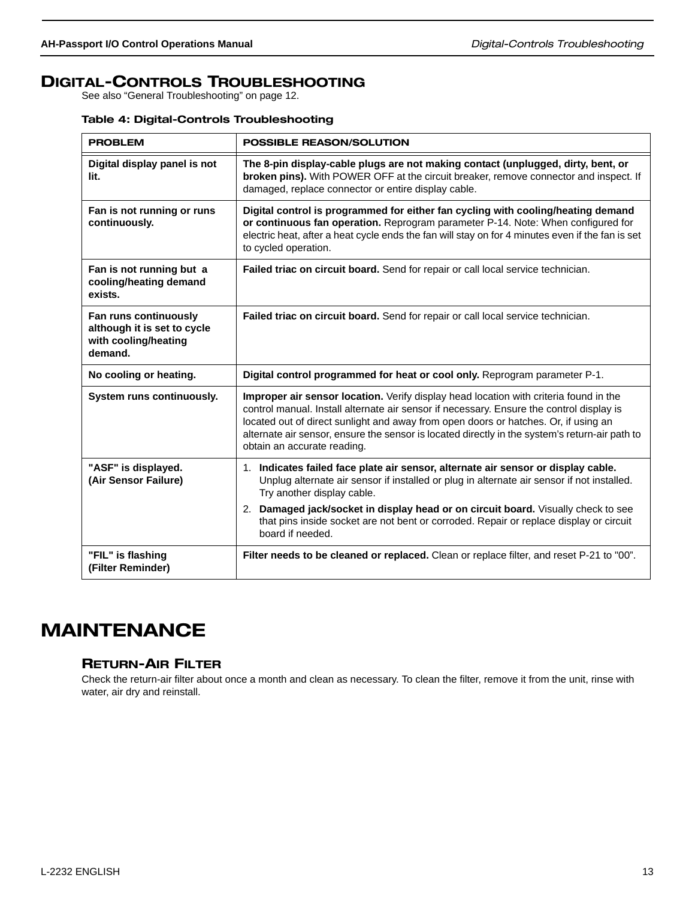## DIGITAL-CONTROLS TROUBLESHOOTING

See also "General Troubleshooting" on page 12.

| <b>Table 4: Digital-Controls Troubleshooting</b> |  |
|--------------------------------------------------|--|
|--------------------------------------------------|--|

| <b>PROBLEM</b>                                                                          | <b>POSSIBLE REASON/SOLUTION</b>                                                                                                                                                                                                                                                                                                                                                                                     |
|-----------------------------------------------------------------------------------------|---------------------------------------------------------------------------------------------------------------------------------------------------------------------------------------------------------------------------------------------------------------------------------------------------------------------------------------------------------------------------------------------------------------------|
| Digital display panel is not<br>lit.                                                    | The 8-pin display-cable plugs are not making contact (unplugged, dirty, bent, or<br>broken pins). With POWER OFF at the circuit breaker, remove connector and inspect. If<br>damaged, replace connector or entire display cable.                                                                                                                                                                                    |
| Fan is not running or runs<br>continuously.                                             | Digital control is programmed for either fan cycling with cooling/heating demand<br>or continuous fan operation. Reprogram parameter P-14. Note: When configured for<br>electric heat, after a heat cycle ends the fan will stay on for 4 minutes even if the fan is set<br>to cycled operation.                                                                                                                    |
| Fan is not running but a<br>cooling/heating demand<br>exists.                           | Failed triac on circuit board. Send for repair or call local service technician.                                                                                                                                                                                                                                                                                                                                    |
| Fan runs continuously<br>although it is set to cycle<br>with cooling/heating<br>demand. | Failed triac on circuit board. Send for repair or call local service technician.                                                                                                                                                                                                                                                                                                                                    |
| No cooling or heating.                                                                  | Digital control programmed for heat or cool only. Reprogram parameter P-1.                                                                                                                                                                                                                                                                                                                                          |
| System runs continuously.                                                               | Improper air sensor location. Verify display head location with criteria found in the<br>control manual. Install alternate air sensor if necessary. Ensure the control display is<br>located out of direct sunlight and away from open doors or hatches. Or, if using an<br>alternate air sensor, ensure the sensor is located directly in the system's return-air path to<br>obtain an accurate reading.           |
| "ASF" is displayed.<br>(Air Sensor Failure)                                             | 1. Indicates failed face plate air sensor, alternate air sensor or display cable.<br>Unplug alternate air sensor if installed or plug in alternate air sensor if not installed.<br>Try another display cable.<br>Damaged jack/socket in display head or on circuit board. Visually check to see<br>2.<br>that pins inside socket are not bent or corroded. Repair or replace display or circuit<br>board if needed. |
| "FIL" is flashing<br>(Filter Reminder)                                                  | Filter needs to be cleaned or replaced. Clean or replace filter, and reset P-21 to "00".                                                                                                                                                                                                                                                                                                                            |

## MAINTENANCE

### RETURN-AIR FILTER

Check the return-air filter about once a month and clean as necessary. To clean the filter, remove it from the unit, rinse with water, air dry and reinstall.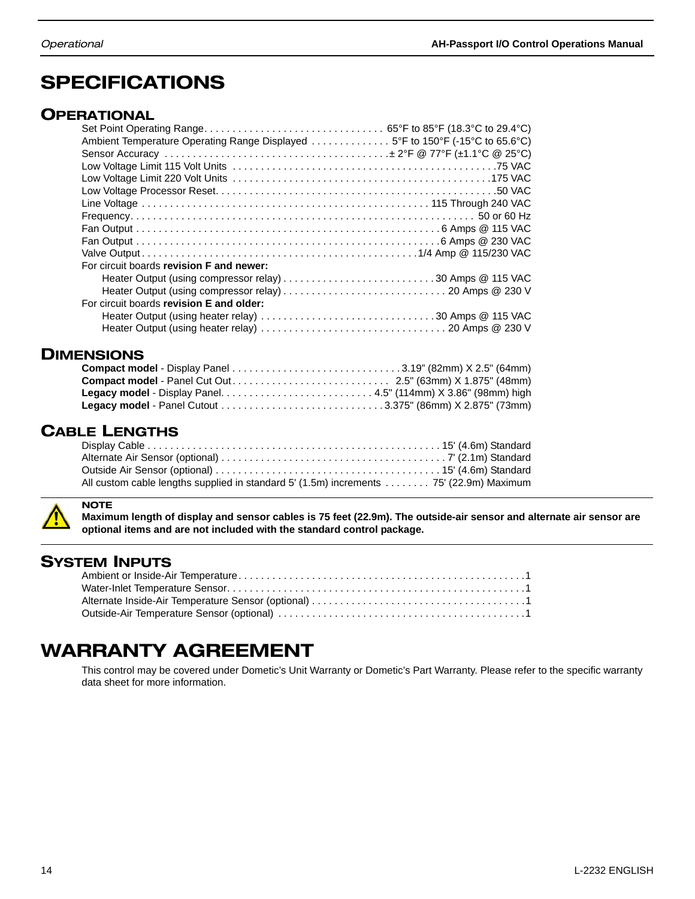## SPECIFICATIONS

### **OPERATIONAL**

| Ambient Temperature Operating Range Displayed 5°F to 150°F (-15°C to 65.6°C) |  |
|------------------------------------------------------------------------------|--|
|                                                                              |  |
|                                                                              |  |
|                                                                              |  |
|                                                                              |  |
|                                                                              |  |
|                                                                              |  |
|                                                                              |  |
|                                                                              |  |
|                                                                              |  |
| For circuit boards revision F and newer:                                     |  |
|                                                                              |  |
|                                                                              |  |
| For circuit boards revision E and older:                                     |  |
|                                                                              |  |
|                                                                              |  |

### **DIMENSIONS**

## CABLE LENGTHS

| All custom cable lengths supplied in standard 5' (1.5m) increments  75' (22.9m) Maximum |  |
|-----------------------------------------------------------------------------------------|--|



## **NOTE**

**Maximum length of display and sensor cables is 75 feet (22.9m). The outside-air sensor and alternate air sensor are optional items and are not included with the standard control package.**

## SYSTEM INPUTS

## WARRANTY AGREEMENT

This control may be covered under Dometic's Unit Warranty or Dometic's Part Warranty. Please refer to the specific warranty data sheet for more information.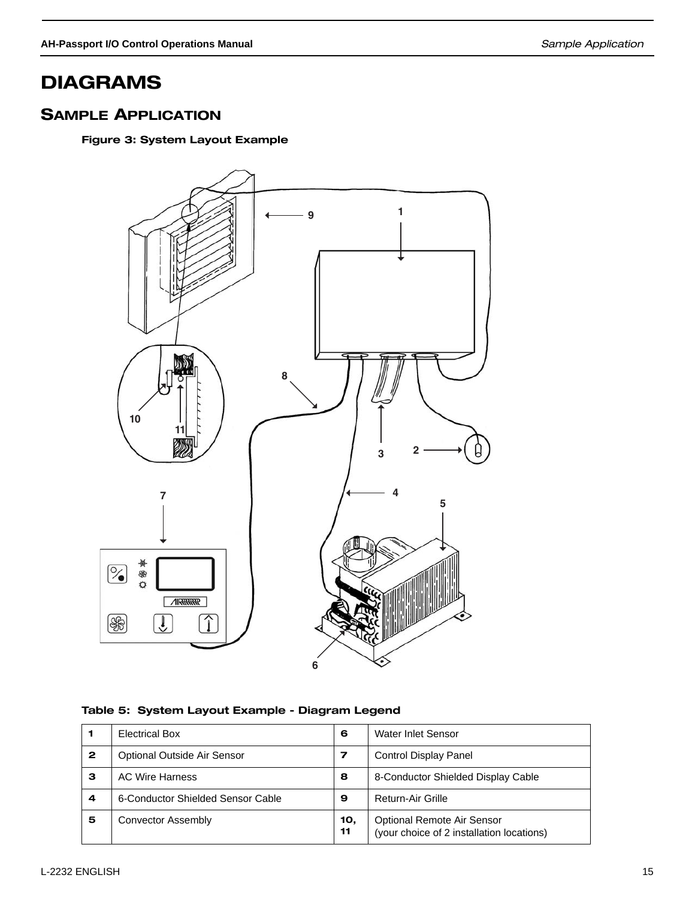## DIAGRAMS

## SAMPLE APPLICATION

Figure 3: System Layout Example



|  | Table 5: System Layout Example - Diagram Legend |  |
|--|-------------------------------------------------|--|
|  |                                                 |  |

|   | Electrical Box                    | 6         | Water Inlet Sensor                                                      |
|---|-----------------------------------|-----------|-------------------------------------------------------------------------|
| 2 | Optional Outside Air Sensor       | 7         | Control Display Panel                                                   |
| з | <b>AC Wire Harness</b>            | 8         | 8-Conductor Shielded Display Cable                                      |
| 4 | 6-Conductor Shielded Sensor Cable | 9         | Return-Air Grille                                                       |
| 5 | Convector Assembly                | 10,<br>11 | Optional Remote Air Sensor<br>(your choice of 2 installation locations) |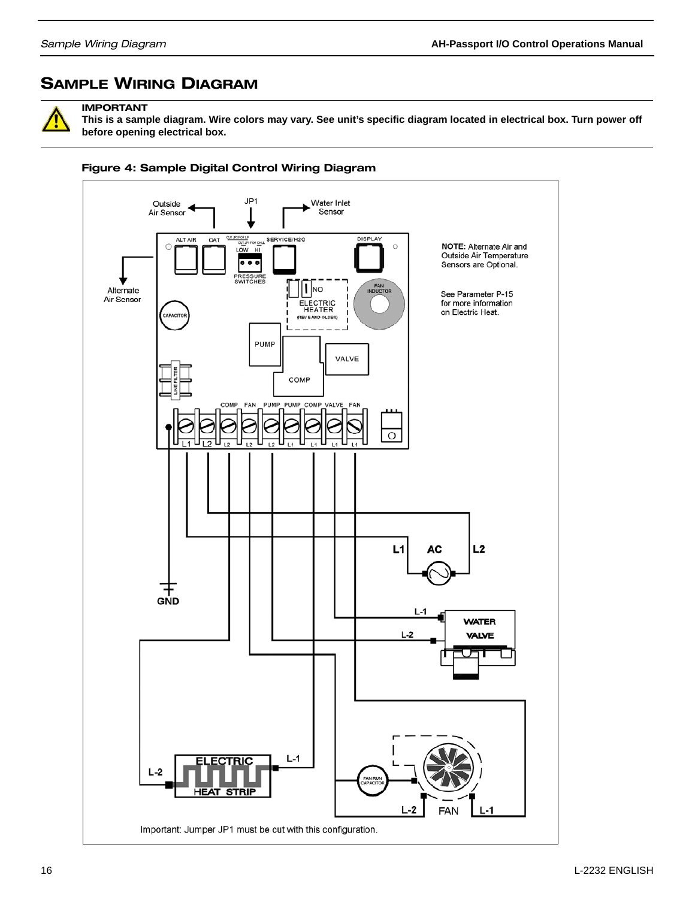## SAMPLE WIRING DIAGRAM



IMPORTANT

**This is a sample diagram. Wire colors may vary. See unit's specific diagram located in electrical box. Turn power off before opening electrical box.**



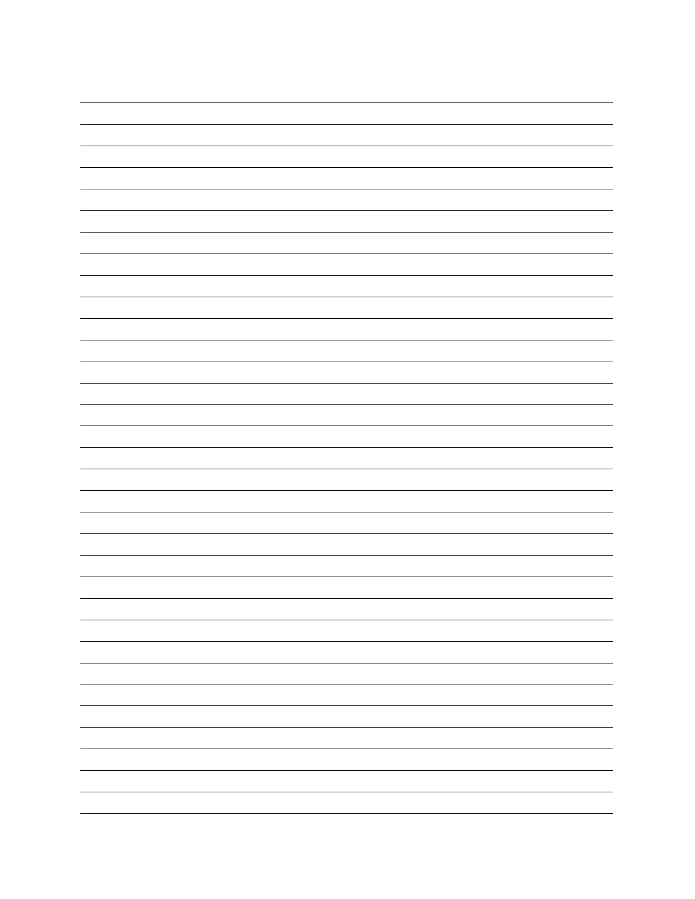